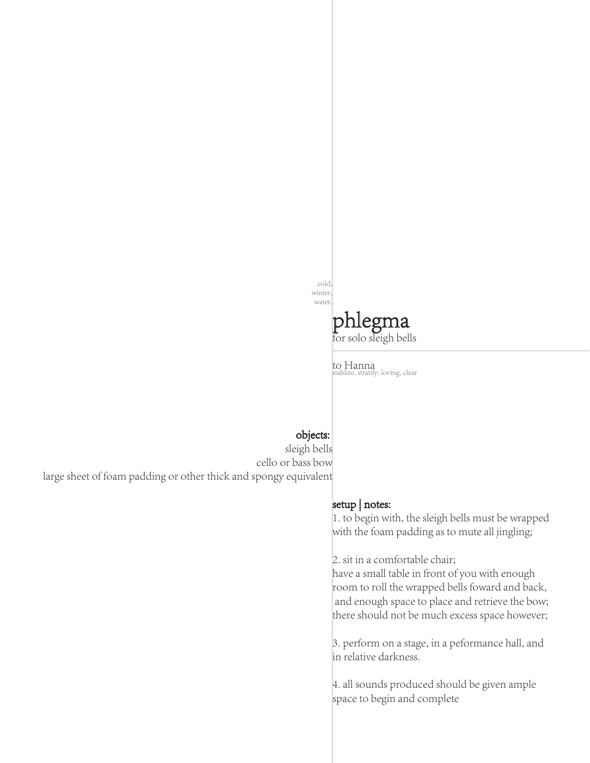cold, winter, water



to Hanna stablize, stratify: loving, clear

## objects:

sleigh bells cello or bass bow large sheet of foam padding or other thick and spongy equivalent

## setup | notes:

1. to begin with, the sleigh bells must be wrapped with the foam padding as to mute all jingling;

2. sit in a comfortable chair;

have a small table in front of you with enough room to roll the wrapped bells foward and back, and enough space to place and retrieve the bow; there should not be much excess space however;

3. perform on a stage, in a peformance hall, and in relative darkness.

4. all sounds produced should be given ample space to begin and complete